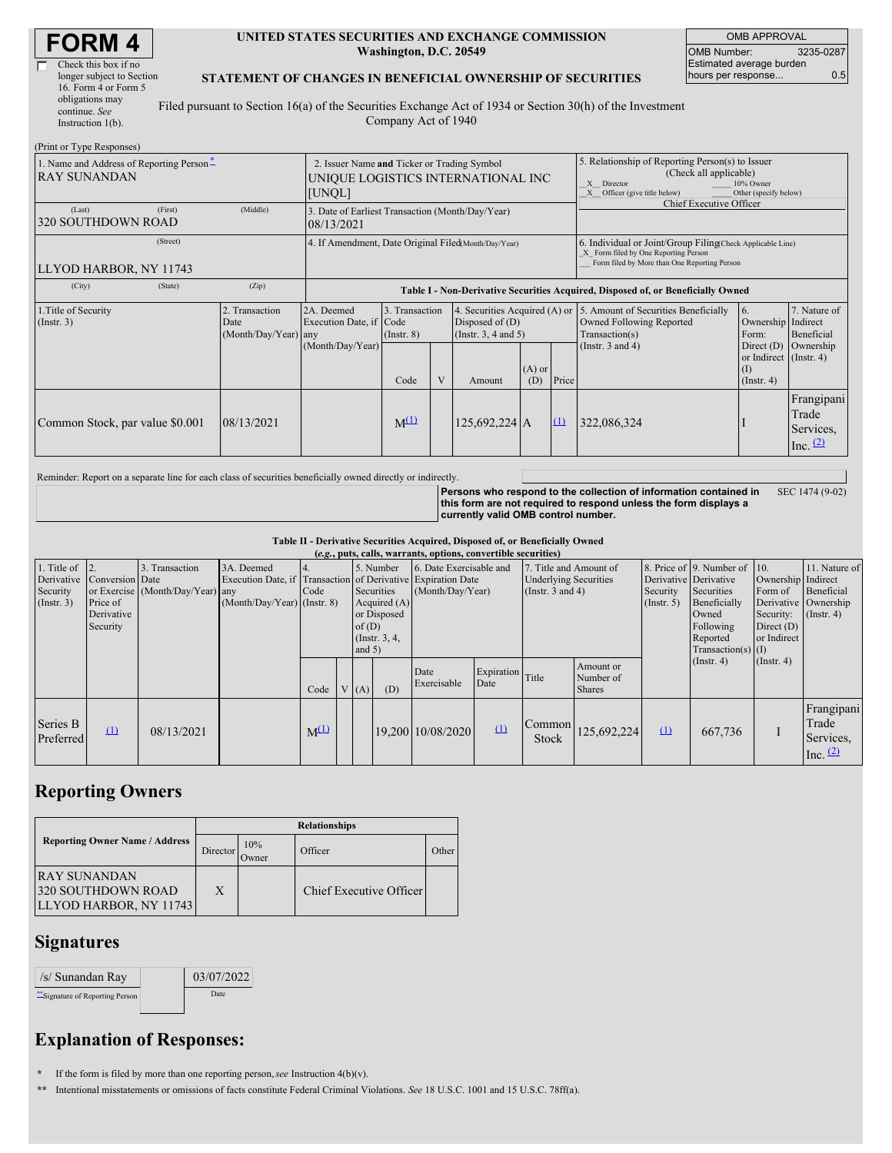| <b>FORM 4</b> |  |
|---------------|--|
|---------------|--|

| Check this box if no |                           |
|----------------------|---------------------------|
|                      |                           |
| 16. Form 4 or Form 5 |                           |
| obligations may      | Ī                         |
| continue. See        |                           |
| Instruction $1(b)$ . |                           |
|                      | longer subject to Section |

#### **UNITED STATES SECURITIES AND EXCHANGE COMMISSION Washington, D.C. 20549**

OMB APPROVAL OMB Number: 3235-0287 Estimated average burden hours per response... 0.5

#### **STATEMENT OF CHANGES IN BENEFICIAL OWNERSHIP OF SECURITIES**

Filed pursuant to Section 16(a) of the Securities Exchange Act of 1934 or Section 30(h) of the Investment Company Act of 1940

| (Print or Type Responses)                                                             |                                                                                             |                                                                            |                                                                |                                                                                |   |                                                                                                                                                                |                                                                                    |                                                                                                                                                    |                            |                                                   |                                                |
|---------------------------------------------------------------------------------------|---------------------------------------------------------------------------------------------|----------------------------------------------------------------------------|----------------------------------------------------------------|--------------------------------------------------------------------------------|---|----------------------------------------------------------------------------------------------------------------------------------------------------------------|------------------------------------------------------------------------------------|----------------------------------------------------------------------------------------------------------------------------------------------------|----------------------------|---------------------------------------------------|------------------------------------------------|
| 1. Name and Address of Reporting Person-<br><b>RAY SUNANDAN</b>                       | 2. Issuer Name and Ticker or Trading Symbol<br>UNIQUE LOGISTICS INTERNATIONAL INC<br>[UNQL] |                                                                            |                                                                |                                                                                |   | 5. Relationship of Reporting Person(s) to Issuer<br>(Check all applicable)<br>10% Owner<br>X Director<br>X Officer (give title below)<br>Other (specify below) |                                                                                    |                                                                                                                                                    |                            |                                                   |                                                |
| (Last)<br><b>320 SOUTHDOWN ROAD</b>                                                   | (First)                                                                                     | (Middle)                                                                   | 3. Date of Earliest Transaction (Month/Day/Year)<br>08/13/2021 |                                                                                |   |                                                                                                                                                                |                                                                                    |                                                                                                                                                    | Chief Executive Officer    |                                                   |                                                |
| LLYOD HARBOR, NY 11743                                                                | (Street)                                                                                    |                                                                            | 4. If Amendment, Date Original Filed(Month/Day/Year)           |                                                                                |   |                                                                                                                                                                |                                                                                    | 6. Individual or Joint/Group Filing(Check Applicable Line)<br>X Form filed by One Reporting Person<br>Form filed by More than One Reporting Person |                            |                                                   |                                                |
| (City)                                                                                | (State)                                                                                     | (Zip)                                                                      |                                                                |                                                                                |   |                                                                                                                                                                | Table I - Non-Derivative Securities Acquired, Disposed of, or Beneficially Owned   |                                                                                                                                                    |                            |                                                   |                                                |
| 1. Title of Security<br>2. Transaction<br>(Insert. 3)<br>Date<br>(Month/Day/Year) any |                                                                                             | 2A. Deemed<br>3. Transaction<br>Execution Date, if Code<br>$($ Instr. $8)$ |                                                                | 4. Securities Acquired (A) or<br>Disposed of $(D)$<br>(Instr. $3, 4$ and $5$ ) |   |                                                                                                                                                                | 5. Amount of Securities Beneficially<br>Owned Following Reported<br>Transaction(s) | 6.<br>Ownership Indirect<br>Form:                                                                                                                  | 7. Nature of<br>Beneficial |                                                   |                                                |
|                                                                                       |                                                                                             |                                                                            | (Month/Day/Year)                                               | Code                                                                           | V | Amount                                                                                                                                                         | $(A)$ or<br>(D)                                                                    | Price                                                                                                                                              | (Instr. $3$ and $4$ )      | or Indirect (Instr. 4)<br>(1)<br>$($ Instr. 4 $)$ | Direct $(D)$ Ownership                         |
| Common Stock, par value \$0.001                                                       |                                                                                             | 08/13/2021                                                                 |                                                                | $M^{(1)}$                                                                      |   | 125,692,224 A                                                                                                                                                  |                                                                                    | $\Omega$                                                                                                                                           | 322,086,324                |                                                   | Frangipani<br>Trade<br>Services,<br>Inc. $(2)$ |

Reminder: Report on a separate line for each class of securities beneficially owned directly or indirectly.

**Persons who respond to the collection of information contained in this form are not required to respond unless the form displays a currently valid OMB control number.** SEC 1474 (9-02)

**Table II - Derivative Securities Acquired, Disposed of, or Beneficially Owned**

| (e.g., puts, calls, warrants, options, convertible securities) |                 |                                  |                                                              |           |  |          |                 |                         |                          |                              |                             |                       |                              |                    |                      |
|----------------------------------------------------------------|-----------------|----------------------------------|--------------------------------------------------------------|-----------|--|----------|-----------------|-------------------------|--------------------------|------------------------------|-----------------------------|-----------------------|------------------------------|--------------------|----------------------|
| 1. Title of $\vert$ 2.                                         |                 | 3. Transaction                   | 3A. Deemed                                                   |           |  |          | 5. Number       | 6. Date Exercisable and |                          | 7. Title and Amount of       |                             |                       | 8. Price of 9. Number of 10. |                    | 11. Nature of        |
| Derivative                                                     | Conversion Date |                                  | Execution Date, if Transaction of Derivative Expiration Date |           |  |          |                 |                         |                          | <b>Underlying Securities</b> |                             | Derivative Derivative |                              | Ownership Indirect |                      |
| Security                                                       |                 | or Exercise (Month/Day/Year) any |                                                              | Code      |  |          | Securities      | (Month/Day/Year)        |                          | (Instr. $3$ and $4$ )        |                             | Security              | Securities                   | Form of            | Beneficial           |
| $($ Instr. 3 $)$                                               | Price of        |                                  | $(Month/Day/Year)$ (Instr. 8)                                |           |  |          | Acquired $(A)$  |                         |                          |                              |                             | $($ Instr. 5 $)$      | Beneficially                 |                    | Derivative Ownership |
|                                                                | Derivative      |                                  |                                                              |           |  |          | or Disposed     |                         |                          |                              |                             |                       | Owned                        | Security:          | (Insert. 4)          |
|                                                                | Security        |                                  |                                                              |           |  | of(D)    |                 |                         |                          |                              |                             |                       | Following                    | Direct $(D)$       |                      |
|                                                                |                 |                                  |                                                              |           |  |          | (Instr. $3, 4,$ |                         |                          |                              |                             |                       | Reported                     | or Indirect        |                      |
|                                                                |                 |                                  |                                                              |           |  | and $5)$ |                 |                         |                          |                              |                             |                       | Transaction(s) $(I)$         |                    |                      |
|                                                                |                 |                                  |                                                              |           |  |          |                 | Date                    | Expiration               |                              | Amount or                   |                       | $($ Instr. 4 $)$             | $($ Instr. 4 $)$   |                      |
|                                                                |                 |                                  |                                                              |           |  |          |                 | Exercisable             | Date                     | Title                        | Number of                   |                       |                              |                    |                      |
|                                                                |                 |                                  |                                                              | Code      |  | V(A)     | (D)             |                         |                          |                              | <b>Shares</b>               |                       |                              |                    |                      |
|                                                                |                 |                                  |                                                              |           |  |          |                 |                         |                          |                              |                             |                       |                              |                    | Frangipani           |
| Series B                                                       |                 |                                  |                                                              |           |  |          |                 |                         | $\mathbf{\underline{u}}$ |                              | $\text{Common}$ 125,692,224 |                       |                              |                    | Trade                |
| Preferred                                                      | $\Omega$        | 08/13/2021                       |                                                              | $M^{(1)}$ |  |          |                 | 19,200 10/08/2020       |                          | Stock                        |                             | $\Omega$              | 667,736                      |                    | Services.            |
|                                                                |                 |                                  |                                                              |           |  |          |                 |                         |                          |                              |                             |                       |                              |                    | Inc. $(2)$           |
|                                                                |                 |                                  |                                                              |           |  |          |                 |                         |                          |                              |                             |                       |                              |                    |                      |

# **Reporting Owners**

|                                                               | <b>Relationships</b>  |              |                         |       |  |  |  |  |
|---------------------------------------------------------------|-----------------------|--------------|-------------------------|-------|--|--|--|--|
| <b>Reporting Owner Name / Address</b>                         | Director <sup>'</sup> | 10%<br>Owner | Officer                 | Other |  |  |  |  |
| IRAY SUNANDAN<br>320 SOUTHDOWN ROAD<br>LLYOD HARBOR, NY 11743 | X                     |              | Chief Executive Officer |       |  |  |  |  |

### **Signatures**

| /s/ Sunandan Ray               | 03/07/2022 |
|--------------------------------|------------|
| "Signature of Reporting Person | Date       |

# **Explanation of Responses:**

**\*** If the form is filed by more than one reporting person,*see* Instruction 4(b)(v).

**\*\*** Intentional misstatements or omissions of facts constitute Federal Criminal Violations. *See* 18 U.S.C. 1001 and 15 U.S.C. 78ff(a).